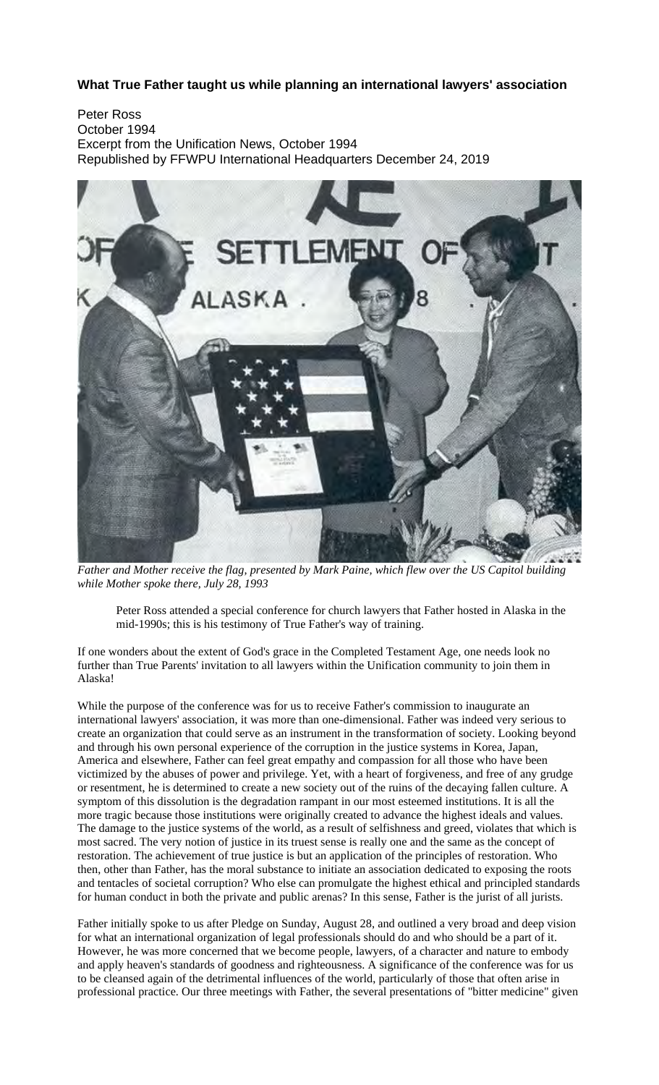# **What True Father taught us while planning an international lawyers' association**

Peter Ross October 1994 Excerpt from the Unification News, October 1994 Republished by FFWPU International Headquarters December 24, 2019



*Father and Mother receive the flag, presented by Mark Paine, which flew over the US Capitol building while Mother spoke there, July 28, 1993* 

Peter Ross attended a special conference for church lawyers that Father hosted in Alaska in the mid-1990s; this is his testimony of True Father's way of training.

If one wonders about the extent of God's grace in the Completed Testament Age, one needs look no further than True Parents' invitation to all lawyers within the Unification community to join them in Alaska!

While the purpose of the conference was for us to receive Father's commission to inaugurate an international lawyers' association, it was more than one-dimensional. Father was indeed very serious to create an organization that could serve as an instrument in the transformation of society. Looking beyond and through his own personal experience of the corruption in the justice systems in Korea, Japan, America and elsewhere, Father can feel great empathy and compassion for all those who have been victimized by the abuses of power and privilege. Yet, with a heart of forgiveness, and free of any grudge or resentment, he is determined to create a new society out of the ruins of the decaying fallen culture. A symptom of this dissolution is the degradation rampant in our most esteemed institutions. It is all the more tragic because those institutions were originally created to advance the highest ideals and values. The damage to the justice systems of the world, as a result of selfishness and greed, violates that which is most sacred. The very notion of justice in its truest sense is really one and the same as the concept of restoration. The achievement of true justice is but an application of the principles of restoration. Who then, other than Father, has the moral substance to initiate an association dedicated to exposing the roots and tentacles of societal corruption? Who else can promulgate the highest ethical and principled standards for human conduct in both the private and public arenas? In this sense, Father is the jurist of all jurists.

Father initially spoke to us after Pledge on Sunday, August 28, and outlined a very broad and deep vision for what an international organization of legal professionals should do and who should be a part of it. However, he was more concerned that we become people, lawyers, of a character and nature to embody and apply heaven's standards of goodness and righteousness. A significance of the conference was for us to be cleansed again of the detrimental influences of the world, particularly of those that often arise in professional practice. Our three meetings with Father, the several presentations of "bitter medicine" given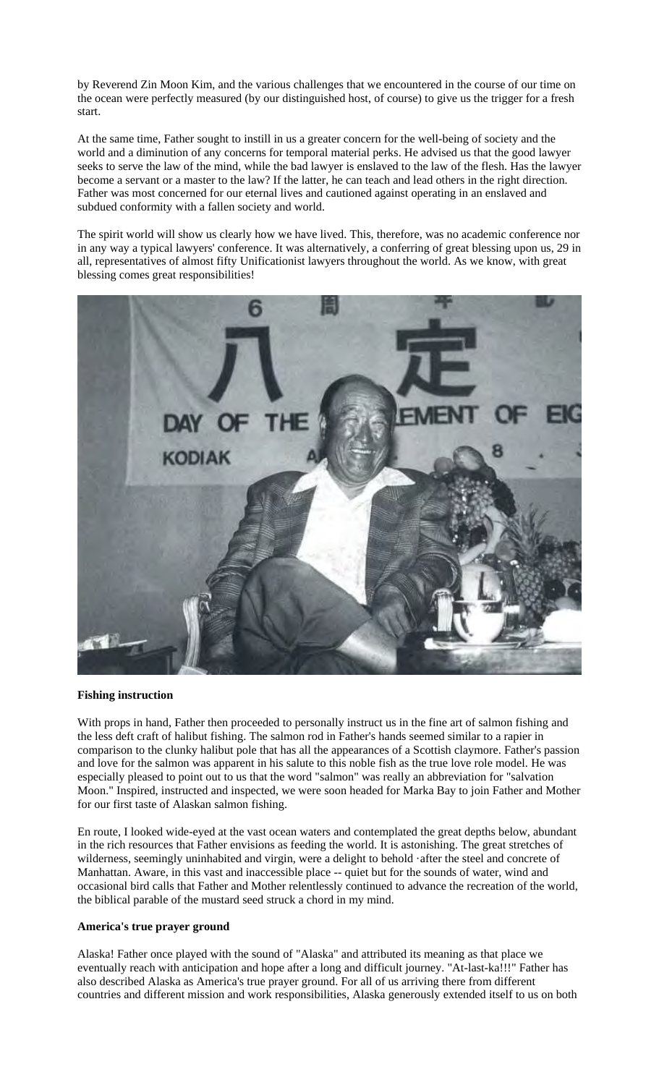by Reverend Zin Moon Kim, and the various challenges that we encountered in the course of our time on the ocean were perfectly measured (by our distinguished host, of course) to give us the trigger for a fresh start.

At the same time, Father sought to instill in us a greater concern for the well-being of society and the world and a diminution of any concerns for temporal material perks. He advised us that the good lawyer seeks to serve the law of the mind, while the bad lawyer is enslaved to the law of the flesh. Has the lawyer become a servant or a master to the law? If the latter, he can teach and lead others in the right direction. Father was most concerned for our eternal lives and cautioned against operating in an enslaved and subdued conformity with a fallen society and world.

The spirit world will show us clearly how we have lived. This, therefore, was no academic conference nor in any way a typical lawyers' conference. It was alternatively, a conferring of great blessing upon us, 29 in all, representatives of almost fifty Unificationist lawyers throughout the world. As we know, with great blessing comes great responsibilities!



## **Fishing instruction**

With props in hand, Father then proceeded to personally instruct us in the fine art of salmon fishing and the less deft craft of halibut fishing. The salmon rod in Father's hands seemed similar to a rapier in comparison to the clunky halibut pole that has all the appearances of a Scottish claymore. Father's passion and love for the salmon was apparent in his salute to this noble fish as the true love role model. He was especially pleased to point out to us that the word "salmon" was really an abbreviation for "salvation Moon." Inspired, instructed and inspected, we were soon headed for Marka Bay to join Father and Mother for our first taste of Alaskan salmon fishing.

En route, I looked wide-eyed at the vast ocean waters and contemplated the great depths below, abundant in the rich resources that Father envisions as feeding the world. It is astonishing. The great stretches of wilderness, seemingly uninhabited and virgin, were a delight to behold ·after the steel and concrete of Manhattan. Aware, in this vast and inaccessible place -- quiet but for the sounds of water, wind and occasional bird calls that Father and Mother relentlessly continued to advance the recreation of the world, the biblical parable of the mustard seed struck a chord in my mind.

### **America's true prayer ground**

Alaska! Father once played with the sound of "Alaska" and attributed its meaning as that place we eventually reach with anticipation and hope after a long and difficult journey. "At-last-ka!!!" Father has also described Alaska as America's true prayer ground. For all of us arriving there from different countries and different mission and work responsibilities, Alaska generously extended itself to us on both